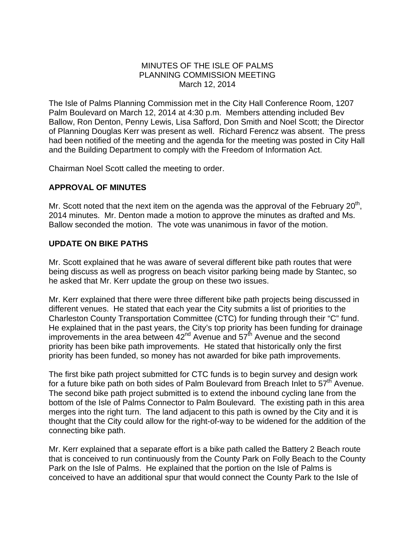### MINUTES OF THE ISLE OF PALMS PLANNING COMMISSION MEETING March 12, 2014

The Isle of Palms Planning Commission met in the City Hall Conference Room, 1207 Palm Boulevard on March 12, 2014 at 4:30 p.m. Members attending included Bev Ballow, Ron Denton, Penny Lewis, Lisa Safford, Don Smith and Noel Scott; the Director of Planning Douglas Kerr was present as well. Richard Ferencz was absent. The press had been notified of the meeting and the agenda for the meeting was posted in City Hall and the Building Department to comply with the Freedom of Information Act.

Chairman Noel Scott called the meeting to order.

## **APPROVAL OF MINUTES**

Mr. Scott noted that the next item on the agenda was the approval of the February  $20<sup>th</sup>$ , 2014 minutes. Mr. Denton made a motion to approve the minutes as drafted and Ms. Ballow seconded the motion. The vote was unanimous in favor of the motion.

## **UPDATE ON BIKE PATHS**

Mr. Scott explained that he was aware of several different bike path routes that were being discuss as well as progress on beach visitor parking being made by Stantec, so he asked that Mr. Kerr update the group on these two issues.

Mr. Kerr explained that there were three different bike path projects being discussed in different venues. He stated that each year the City submits a list of priorities to the Charleston County Transportation Committee (CTC) for funding through their "C" fund. He explained that in the past years, the City's top priority has been funding for drainage improvements in the area between  $42<sup>nd</sup>$  Avenue and  $57<sup>th</sup>$  Avenue and the second priority has been bike path improvements. He stated that historically only the first priority has been funded, so money has not awarded for bike path improvements.

The first bike path project submitted for CTC funds is to begin survey and design work for a future bike path on both sides of Palm Boulevard from Breach Inlet to  $57<sup>th</sup>$  Avenue. The second bike path project submitted is to extend the inbound cycling lane from the bottom of the Isle of Palms Connector to Palm Boulevard. The existing path in this area merges into the right turn. The land adjacent to this path is owned by the City and it is thought that the City could allow for the right-of-way to be widened for the addition of the connecting bike path.

Mr. Kerr explained that a separate effort is a bike path called the Battery 2 Beach route that is conceived to run continuously from the County Park on Folly Beach to the County Park on the Isle of Palms. He explained that the portion on the Isle of Palms is conceived to have an additional spur that would connect the County Park to the Isle of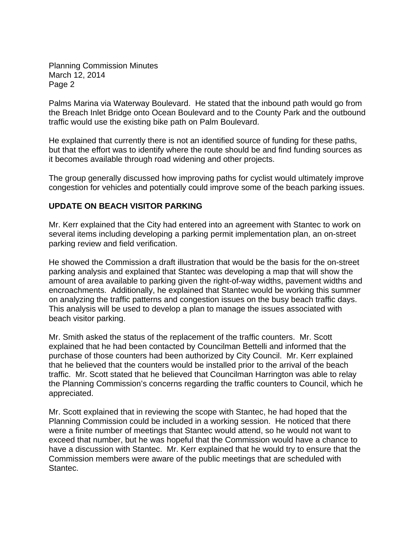Planning Commission Minutes March 12, 2014 Page 2

Palms Marina via Waterway Boulevard. He stated that the inbound path would go from the Breach Inlet Bridge onto Ocean Boulevard and to the County Park and the outbound traffic would use the existing bike path on Palm Boulevard.

He explained that currently there is not an identified source of funding for these paths, but that the effort was to identify where the route should be and find funding sources as it becomes available through road widening and other projects.

The group generally discussed how improving paths for cyclist would ultimately improve congestion for vehicles and potentially could improve some of the beach parking issues.

## **UPDATE ON BEACH VISITOR PARKING**

Mr. Kerr explained that the City had entered into an agreement with Stantec to work on several items including developing a parking permit implementation plan, an on-street parking review and field verification.

He showed the Commission a draft illustration that would be the basis for the on-street parking analysis and explained that Stantec was developing a map that will show the amount of area available to parking given the right-of-way widths, pavement widths and encroachments. Additionally, he explained that Stantec would be working this summer on analyzing the traffic patterns and congestion issues on the busy beach traffic days. This analysis will be used to develop a plan to manage the issues associated with beach visitor parking.

Mr. Smith asked the status of the replacement of the traffic counters. Mr. Scott explained that he had been contacted by Councilman Bettelli and informed that the purchase of those counters had been authorized by City Council. Mr. Kerr explained that he believed that the counters would be installed prior to the arrival of the beach traffic. Mr. Scott stated that he believed that Councilman Harrington was able to relay the Planning Commission's concerns regarding the traffic counters to Council, which he appreciated.

Mr. Scott explained that in reviewing the scope with Stantec, he had hoped that the Planning Commission could be included in a working session. He noticed that there were a finite number of meetings that Stantec would attend, so he would not want to exceed that number, but he was hopeful that the Commission would have a chance to have a discussion with Stantec. Mr. Kerr explained that he would try to ensure that the Commission members were aware of the public meetings that are scheduled with Stantec.